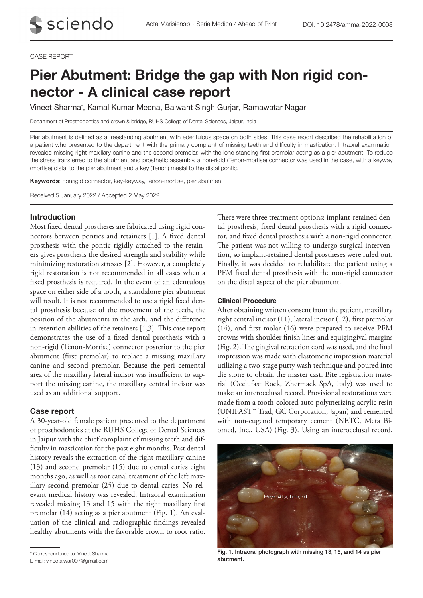#### CASE REPORT

# Pier Abutment: Bridge the gap with Non rigid connector - A clinical case report

Vineet Sharma\* , Kamal Kumar Meena, Balwant Singh Gurjar, Ramawatar Nagar

Department of Prosthodontics and crown & bridge, RUHS College of Dental Sciences, Jaipur, India

Pier abutment is defined as a freestanding abutment with edentulous space on both sides. This case report described the rehabilitation of a patient who presented to the department with the primary complaint of missing teeth and difficulty in mastication. Intraoral examination revealed missing right maxillary canine and the second premolar, with the lone standing first premolar acting as a pier abutment. To reduce the stress transferred to the abutment and prosthetic assembly, a non-rigid (Tenon-mortise) connector was used in the case, with a keyway (mortise) distal to the pier abutment and a key (Tenon) mesial to the distal pontic.

Keywords: nonrigid connector, key-keyway, tenon-mortise, pier abutment

Received 5 January 2022 / Accepted 2 May 2022

## Introduction

Most fixed dental prostheses are fabricated using rigid connectors between pontics and retainers [1]. A fixed dental prosthesis with the pontic rigidly attached to the retainers gives prosthesis the desired strength and stability while minimizing restoration stresses [2]. However, a completely rigid restoration is not recommended in all cases when a fixed prosthesis is required. In the event of an edentulous space on either side of a tooth, a standalone pier abutment will result. It is not recommended to use a rigid fixed dental prosthesis because of the movement of the teeth, the position of the abutments in the arch, and the difference in retention abilities of the retainers [1,3]. This case report demonstrates the use of a fixed dental prosthesis with a non-rigid (Tenon-Mortise) connector posterior to the pier abutment (first premolar) to replace a missing maxillary canine and second premolar. Because the peri cemental area of the maxillary lateral incisor was insufficient to support the missing canine, the maxillary central incisor was used as an additional support.

### Case report

A 30-year-old female patient presented to the department of prosthodontics at the RUHS College of Dental Sciences in Jaipur with the chief complaint of missing teeth and difficulty in mastication for the past eight months. Past dental history reveals the extraction of the right maxillary canine (13) and second premolar (15) due to dental caries eight months ago, as well as root canal treatment of the left maxillary second premolar (25) due to dental caries. No relevant medical history was revealed. Intraoral examination revealed missing 13 and 15 with the right maxillary first premolar (14) acting as a pier abutment (Fig. 1). An evaluation of the clinical and radiographic findings revealed healthy abutments with the favorable crown to root ratio.

\* Correspondence to: Vineet Sharma

E-mail: vineetalwar007@gmail.com

There were three treatment options: implant-retained dental prosthesis, fixed dental prosthesis with a rigid connector, and fixed dental prosthesis with a non-rigid connector. The patient was not willing to undergo surgical intervention, so implant-retained dental prostheses were ruled out. Finally, it was decided to rehabilitate the patient using a PFM fixed dental prosthesis with the non-rigid connector on the distal aspect of the pier abutment.

#### Clinical Procedure

After obtaining written consent from the patient, maxillary right central incisor (11), lateral incisor (12), first premolar (14), and first molar (16) were prepared to receive PFM crowns with shoulder finish lines and equigingival margins (Fig. 2). The gingival retraction cord was used, and the final impression was made with elastomeric impression material utilizing a two-stage putty wash technique and poured into die stone to obtain the master cast. Bite registration material (Occlufast Rock, Zhermack SpA, Italy) was used to make an interocclusal record. Provisional restorations were made from a tooth-colored auto polymerizing acrylic resin (UNIFAST™ Trad, GC Corporation, Japan) and cemented with non-eugenol temporary cement (NETC, Meta Biomed, Inc., USA) (Fig. 3). Using an interocclusal record,



Fig. 1. Intraoral photograph with missing 13, 15, and 14 as pier abutment.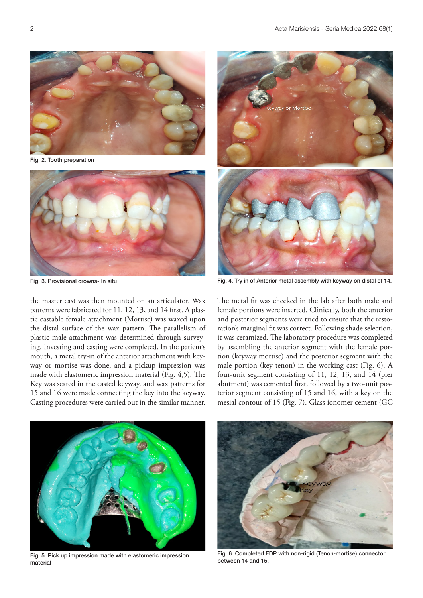

Fig. 2. Tooth preparation



the master cast was then mounted on an articulator. Wax patterns were fabricated for 11, 12, 13, and 14 first. A plastic castable female attachment (Mortise) was waxed upon the distal surface of the wax pattern. The parallelism of plastic male attachment was determined through surveying. Investing and casting were completed. In the patient's mouth, a metal try-in of the anterior attachment with keyway or mortise was done, and a pickup impression was made with elastomeric impression material (Fig. 4,5). The Key was seated in the casted keyway, and wax patterns for 15 and 16 were made connecting the key into the keyway. Casting procedures were carried out in the similar manner.



Fig. 3. Provisional crowns- In situ Fig. 4. Try in of Anterior metal assembly with keyway on distal of 14.

The metal fit was checked in the lab after both male and female portions were inserted. Clinically, both the anterior and posterior segments were tried to ensure that the restoration's marginal fit was correct. Following shade selection, it was ceramized. The laboratory procedure was completed by assembling the anterior segment with the female portion (keyway mortise) and the posterior segment with the male portion (key tenon) in the working cast (Fig. 6). A four-unit segment consisting of 11, 12, 13, and 14 (pier abutment) was cemented first, followed by a two-unit posterior segment consisting of 15 and 16, with a key on the mesial contour of 15 (Fig. 7). Glass ionomer cement (GC



Fig. 5. Pick up impression made with elastomeric impression material



Fig. 6. Completed FDP with non-rigid (Tenon-mortise) connector between 14 and 15.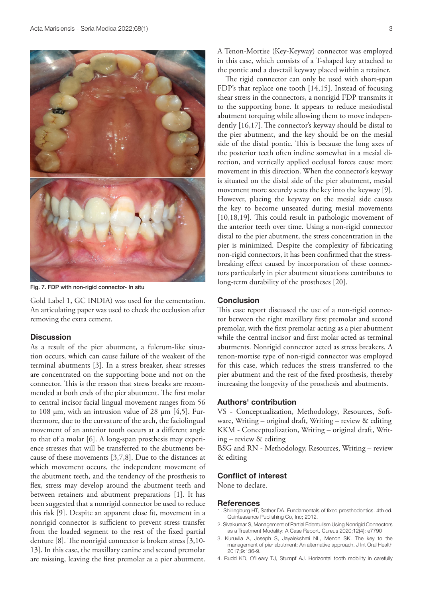

Fig. 7. FDP with non-rigid connector- In situ

Gold Label 1, GC INDIA) was used for the cementation. An articulating paper was used to check the occlusion after removing the extra cement.

## **Discussion**

As a result of the pier abutment, a fulcrum-like situation occurs, which can cause failure of the weakest of the terminal abutments [3]. In a stress breaker, shear stresses are concentrated on the supporting bone and not on the connector. This is the reason that stress breaks are recommended at both ends of the pier abutment. The first molar to central incisor facial lingual movement ranges from 56 to 108 μm, with an intrusion value of 28 μm [4,5]. Furthermore, due to the curvature of the arch, the faciolingual movement of an anterior tooth occurs at a different angle to that of a molar [6]. A long-span prosthesis may experience stresses that will be transferred to the abutments because of these movements [3,7,8]. Due to the distances at which movement occurs, the independent movement of the abutment teeth, and the tendency of the prosthesis to flex, stress may develop around the abutment teeth and between retainers and abutment preparations [1]. It has been suggested that a nonrigid connector be used to reduce this risk [9]. Despite an apparent close fit, movement in a nonrigid connector is sufficient to prevent stress transfer from the loaded segment to the rest of the fixed partial denture [8]. The nonrigid connector is broken stress [3,10- 13]. In this case, the maxillary canine and second premolar are missing, leaving the first premolar as a pier abutment.

A Tenon-Mortise (Key-Keyway) connector was employed in this case, which consists of a T-shaped key attached to the pontic and a dovetail keyway placed within a retainer.

The rigid connector can only be used with short-span FDP's that replace one tooth [14,15]. Instead of focusing shear stress in the connectors, a nonrigid FDP transmits it to the supporting bone. It appears to reduce mesiodistal abutment torquing while allowing them to move independently [16,17]. The connector's keyway should be distal to the pier abutment, and the key should be on the mesial side of the distal pontic. This is because the long axes of the posterior teeth often incline somewhat in a mesial direction, and vertically applied occlusal forces cause more movement in this direction. When the connector's keyway is situated on the distal side of the pier abutment, mesial movement more securely seats the key into the keyway [9]. However, placing the keyway on the mesial side causes the key to become unseated during mesial movements [10,18,19]. This could result in pathologic movement of the anterior teeth over time. Using a non-rigid connector distal to the pier abutment, the stress concentration in the pier is minimized. Despite the complexity of fabricating non-rigid connectors, it has been confirmed that the stressbreaking effect caused by incorporation of these connectors particularly in pier abutment situations contributes to long-term durability of the prostheses [20].

## **Conclusion**

This case report discussed the use of a non-rigid connector between the right maxillary first premolar and second premolar, with the first premolar acting as a pier abutment while the central incisor and first molar acted as terminal abutments. Nonrigid connector acted as stress breakers. A tenon-mortise type of non-rigid connector was employed for this case, which reduces the stress transferred to the pier abutment and the rest of the fixed prosthesis, thereby increasing the longevity of the prosthesis and abutments.

## Authors' contribution

VS - Conceptualization, Methodology, Resources, Software, Writing – original draft, Writing – review & editing KKM - Conceptualization, Writing – original draft, Writing – review & editing

BSG and RN - Methodology, Resources, Writing – review & editing

### Conflict of interest

None to declare.

#### **References**

- 1. Shillingburg HT, Sather DA. Fundamentals of fixed prosthodontics. 4th ed. Quintessence Publishing Co, Inc; 2012.
- 2. Sivakumar S, Management of Partial Edentulism Using Nonrigid Connectors as a Treatment Modality: A Case Report. Cureus 2020;12(4): e7790
- 3. Kuruvila A, Joseph S, Jayalekshmi NL, Menon SK. The key to the management of pier abutment: An alternative approach. J Int Oral Health 2017;9:136-9.
- 4. Rudd KD, O'Leary TJ, Stumpf AJ. Horizontal tooth mobility in carefully